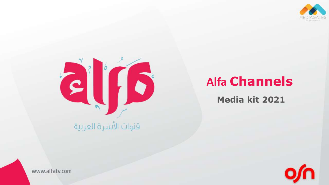



# **Alfa Channels**

**Media kit 2021**



www.alfatv.com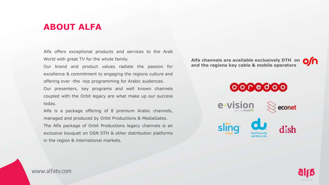# **ABOUT ALFA**

Alfa offers exceptional products and services to the Arab World with great TV for the whole family.

Our brand and product values radiate the passion for excellence & commitment to engaging the regions culture and offering over -the -top programming for Arabic audiences. Our presenters, key programs and well known channels coupled with the Orbit legacy are what make up our success

Alfa is a package offering of 8 premium Arabic channels, managed and produced by Orbit Productions & MediaGates. The Alfa package of Orbit Productions legacy channels is an exclusive bouquet on OSN DTH & other distribution platforms in the region & international markets.

**Alfa channels are available exclusively DTH on and the regions key cable & mobile operators** 





www.alfaty.com

today.

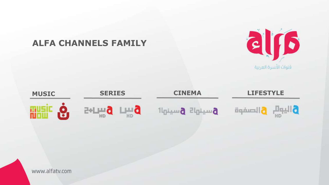

### www.alfatv.com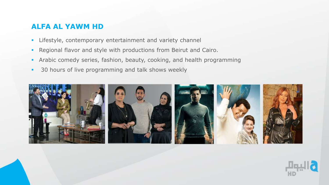### **ALFA AL YAWM HD**

- **EXECT:** Lifestyle, contemporary entertainment and variety channel
- **Regional flavor and style with productions from Beirut and Cairo.**
- **Arabic comedy series, fashion, beauty, cooking, and health programming**
- 30 hours of live programming and talk shows weekly



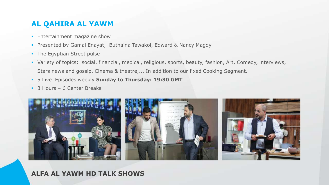### **AL QAHIRA AL YAWM**

- **Entertainment magazine show**
- **Presented by Gamal Enayat, Buthaina Tawakol, Edward & Nancy Magdy**
- **The Egyptian Street pulse**
- Variety of topics: social, financial, medical, religious, sports, beauty, fashion, Art, Comedy, interviews, Stars news and gossip, Cinema & theatre,... In addition to our fixed Cooking Segment.
- 5 Live Episodes weekly **Sunday to Thursday: 19:30 GMT**
- 3 Hours 6 Center Breaks

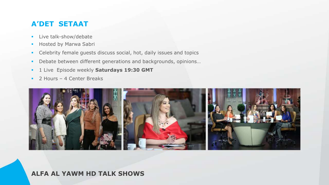# **A'DET SETAAT**

- **EXECUTE:** Live talk-show/debate
- **Hosted by Marwa Sabri**
- **EXECTE CELED FITTE:** Celebrity female guests discuss social, hot, daily issues and topics
- **•** Debate between different generations and backgrounds, opinions...
- **EXECUTE: 1 Live Episode weekly Saturdays 19:30 GMT**
- **2 Hours 4 Center Breaks**

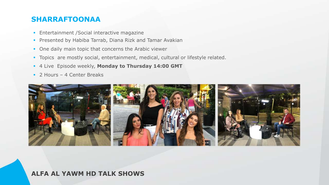### **SHARRAFTOONAA**

- **Entertainment / Social interactive magazine**
- **Presented by Habiba Tarrab, Diana Rizk and Tamar Avakian**
- **One daily main topic that concerns the Arabic viewer**
- **Topics are mostly social, entertainment, medical, cultural or lifestyle related.**
- 4 Live Episode weekly, **Monday to Thursday 14:00 GMT**
- **2 Hours 4 Center Breaks**

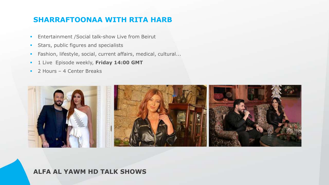# **SHARRAFTOONAA WITH RITA HARB**

- **Entertainment / Social talk-show Live from Beirut**
- **•** Stars, public figures and specialists
- **Eashion, lifestyle, social, current affairs, medical, cultural...**
- **EXECUTE:** 1 Live Episode weekly, Friday 14:00 GMT
- **2 Hours 4 Center Breaks**

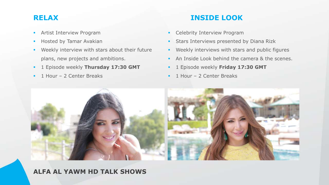- **EXECUTE: Artist Interview Program**
- **Hosted by Tamar Avakian**
- **Weekly interview with stars about their future** plans, new projects and ambitions.
- 1 Episode weekly **Thursday 17:30 GMT**
- **1 Hour 2 Center Breaks**

# **RELAX INSIDE LOOK**

- **EXEC** Celebrity Interview Program
- **EXECUTE: Stars Interviews presented by Diana Rizk**
- **EXECUTE:** Weekly interviews with stars and public figures
- **EXECUTE:** An Inside Look behind the camera & the scenes.
- 1 Episode weekly **Friday 17:30 GMT**
- **1 Hour 2 Center Breaks**

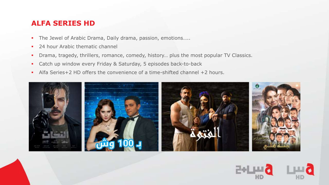### **ALFA SERIES HD**

- The Jewel of Arabic Drama, Daily drama, passion, emotions.....
- 24 hour Arabic thematic channel
- **•** Drama, tragedy, thrillers, romance, comedy, history... plus the most popular TV Classics.
- **EXECT LEGT UP WINDOW EVERY Friday & Saturday, 5 episodes back-to-back**
- Alfa Series+2 HD offers the convenience of a time-shifted channel +2 hours.



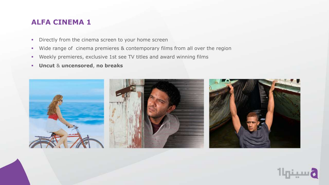### **ALFA CINEMA 1**

- **•** Directly from the cinema screen to your home screen
- Wide range of cinema premieres & contemporary films from all over the region
- Weekly premieres, exclusive 1st see TV titles and award winning films
- **Uncut** & **uncensored**, **no breaks**



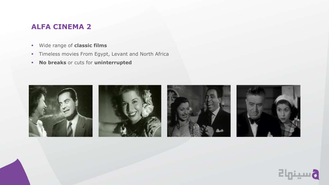# **ALFA CINEMA 2**

- Wide range of **classic films**
- **·** Timeless movies From Egypt, Levant and North Africa
- **No breaks** or cuts for **uninterrupted**



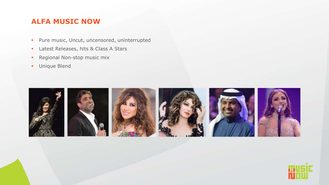# **ALFA MUSIC NOW**

- Pure music, Uncut, uncensored, uninterrupted
- **Exercise** Latest Releases, hits & Class A Stars
- **Regional Non-stop music mix**
- Unique Blend



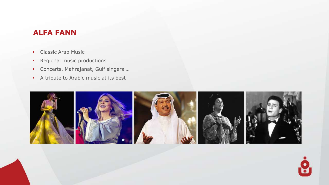# **ALFA FANN**

- **Classic Arab Music**
- Regional music productions
- Concerts, Mahrajanat, Gulf singers …
- A tribute to Arabic music at its best